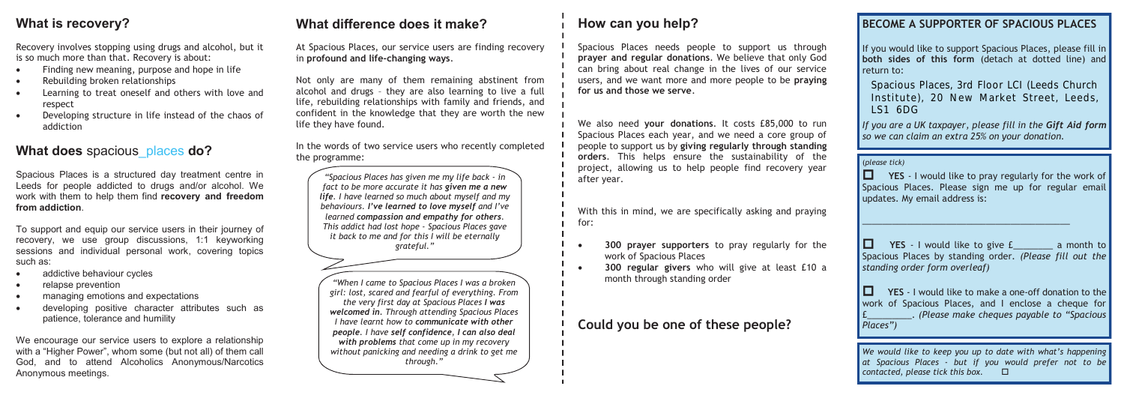## **What is recovery?**

Recovery involves stopping using drugs and alcohol, but it is so much more than that. Recovery is about:

- Finding new meaning, purpose and hope in life
- Rebuilding broken relationships
- Learning to treat oneself and others with love and respect
- Developing structure in life instead of the chaos of addiction

### **What does** spacious\_places **do?**

Spacious Places is a structured day treatment centre in Leeds for people addicted to drugs and/or alcohol. We work with them to help them find **recovery and freedom from addiction**.

To support and equip our service users in their journey of recovery, we use group discussions, 1:1 keyworking sessions and individual personal work, covering topics such as:

- addictive behaviour cycles
- relapse prevention
- managing emotions and expectations
- developing positive character attributes such as patience, tolerance and humility

We encourage our service users to explore a relationship with a "Higher Power", whom some (but not all) of them call God, and to attend Alcoholics Anonymous/Narcotics Anonymous meetings.

# **What difference does it make?**

At Spacious Places, our service users are finding recovery in **profound and life-changing ways**.

If you would like to support Spacious Places, please fill in **both sides of this form** (detach at dotted line) and return to:

Places, Haves, 6 a Floor Eor (Ecoas Gharch Institute), 20 New Market Street, Leeds,<br>164 (DC Spacious Places, 3rd Floor LCI (Leeds Church  $LS1$  6DG

Not only are many of them remaining abstinent from alcohol and drugs – they are also learning to live a full life, rebuilding relationships with family and friends, and confident in the knowledge that they are worth the new life they have found.

In the words of two service users who recently completed the programme:

> ■ YES - I would like to give £ a month to Spacious Places by standing order. *(Please fill out the standing order form overleaf)*

# **How can you help?**

**TES** - I would like to make a one-off donation to the work of Spacious Places, and I enclose a cheque for £\_\_\_\_\_\_\_\_\_. *(Please make cheques payable to "Spacious Places")*

Spacious Places needs people to support us through **prayer and regular donations**. We believe that only God can bring about real change in the lives of our service users, and we want more and more people to be **praying for us and those we serve**.

We also need **your donations**. It costs £85,000 to run Spacious Places each year, and we need a core group of people to support us by **giving regularly through standing orders**. This helps ensure the sustainability of the project, allowing us to help people find recovery year after year.

With this in mind, we are specifically asking and praying for:

- **300 prayer supporters** to pray regularly for the work of Spacious Places
- **300 regular givers** who will give at least £10 a month through standing order

## **Could you be one of these people?**

#### **BECOME A SUPPORTER OF SPACIOUS PLACES**

*If you are a UK taxpayer, please fill in the Gift Aid form so we can claim an extra 25% on your donation.*

(*please tick)*

**TES** - I would like to pray regularly for the work of Spacious Places. Please sign me up for regular email updates. My email address is:

 $\_$  . The contribution of the contribution of  $\mathcal{L}_\mathcal{A}$ 

*We would like to keep you up to date with what's happening at Spacious Places - but if you would prefer not to be contacted, please tick this box.* 

*"Spacious Places has given me my life back - in fact to be more accurate it has given me a new life. I have learned so much about myself and my behaviours. I've learned to love myself and I've learned compassion and empathy for others. This addict had lost hope - Spacious Places gave it back to me and for this I will be eternally grateful."*

*"When I came to Spacious Places I was a broken girl: lost, scared and fearful of everything. From the very first day at Spacious Places I was welcomed in. Through attending Spacious Places I have learnt how to communicate with other people. I have self confidence, I can also deal with problems that come up in my recovery without panicking and needing a drink to get me through."*